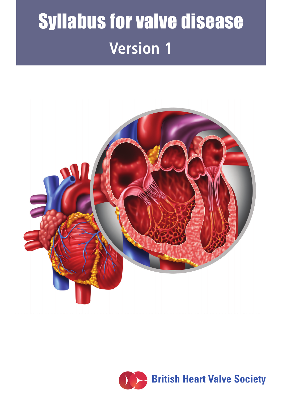# **Version 1** Syllabus for valve disease



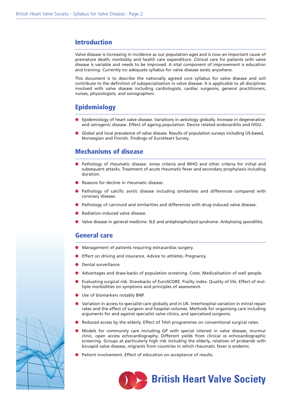#### **Introduction**

Valve disease is increasing in incidence as our population ages and is now an important cause of premature death, morbidity and health care expenditure. Clinical care for patients with valve disease is variable and needs to be improved. A vital component of improvement is education and training. Currently no adequate syllabus for valve disease exists anywhere.

This document is to describe the nationally agreed core syllabus for valve disease and will contribute to the definition of subspecialisation in valve disease. It is applicable to all disciplines involved with valve disease including cardiologists, cardiac surgeons, general practitioners, nurses, physiologists, and sonographers.

## **Epidemiology**

- **•** Epidemiology of heart valve disease. Variations in aetiology globally. Increase in degenerative and iatrogenic disease. Effect of ageing population. Device related endocarditis and IVDU.
- l Global and local prevalence of valve disease. Results of population surveys including US-based, Norwegian and Finnish. Findings of EuroHeart Survey.

#### **Mechanisms of disease**

- Pathology of rheumatic disease. Jones criteria and WHO and other criteria for initial and subsequent attacks. Treatment of acute rheumatic fever and secondary prophylaxis including duration.
- l Reasons for decline in rheumatic disease.
- Pathology of calcific aortic disease including similarities and differences compared with coronary disease.
- **•** Pathology of carcinoid and similarities and differences with drug-induced valve disease.
- l Radiation-induced valve disease.
- l Valve disease in general medicine. SLE and antiphospholipid syndrome. Ankylosing spondilitis.

#### **General care**

- l Management of patients requiring extracardiac surgery.
- **Effect on driving and insurance. Advice to athletes. Pregnancy.**
- Dental surveillance
- l Advantages and draw-backs of population screening. Costs. Medicalisation of well people.
- l Evaluating surgical risk. Drawbacks of EuroSCORE. Frailty index. Quality of life. Effect of multiple morbidities on symptoms and principles of assessment.
- **If** Use of biomarkers notably BNP.
- l Variation in access to specialist care globally and in UK. Interhospital variation in mitral repair rates and the effect of surgeon and hospital volumes. Methods for organising care including arguments for and against specialist valve clinics, and specialised surgeons.
- Reduced access by the elderly. Effect of TAVI programmes on conventional surgical rates.
- l Models for community care including GP with special interest in valve disease, murmur clinic, open access echocardiography. Different yields from clinical vs echocardiographic screening. Groups at particularly high risk including the elderly, relatives of probands with bicuspid valve disease, migrants from countries in which rheumatic fever is endemic.
- Patient involvement. Effect of education on acceptance of results.



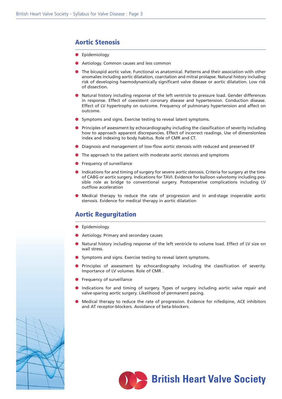## **Aortic Stenosis**

- **·** Epidemiology
- **•** Aetiology. Common causes and less common
- **The bicuspid aortic valve. Functional vs anatomical. Patterns and their association with other** anomalies including aortic dilatation, coarctation and mitral prolapse. Natural history including risk of developing haemodynamically significant valve disease or aortic dilatation. Low risk of dissection.
- l Natural history including response of the left ventricle to pressure load. Gender differences in response. Effect of coexistent coronary disease and hypertension. Conduction disease. Effect of LV hypertrophy on outcome. Frequency of pulmonary hypertension and affect on outcome.
- **.** Symptoms and signs. Exercise testing to reveal latent symptoms.
- **•** Principles of assessment by echocardiography including the classification of severity including how to approach apparent discrepancies. Effect of incorrect readings. Use of dimensionless index and indexing to body habitus. Role of CMR and CT.
- **•** Diagnosis and management of low-flow aortic stenosis with reduced and preserved EF
- $\bullet$  The approach to the patient with moderate aortic stenosis and symptoms
- $\bullet$  Frequency of surveillance
- **Indications for and timing of surgery for severe aortic stenosis. Criteria for surgery at the time** of CABG or aortic surgery. Indications for TAVI. Evidence for balloon valvotomy including possible role as bridge to conventional surgery. Postoperative complications including LV outflow acceleration
- l Medical therapy to reduce the rate of progression and in and-stage inoperable aortic stenosis. Evidence for medical therapy in aortic dilatation

#### **Aortic Regurgitation**

- **•** Epidemiology
- **Aetiology. Primary and secondary causes**
- l Natural history including response of the left ventricle to volume load. Effect of LV size on wall stress.
- **.** Symptoms and signs. Exercise testing to reveal latent symptoms.
- **•** Principles of assessment by echocardiography including the classification of severity. Importance of LV volumes. Role of CMR .
- $\bullet$  Frequency of surveillance
- Indications for and timing of surgery. Types of surgery including aortic valve repair and valve-sparing aortic surgery. Likelihood of permanent pacing.
- l Medical therapy to reduce the rate of progression. Evidence for nifedipine, ACE inhibitors and AT receptor-blockers. Avoidance of beta-blockers.



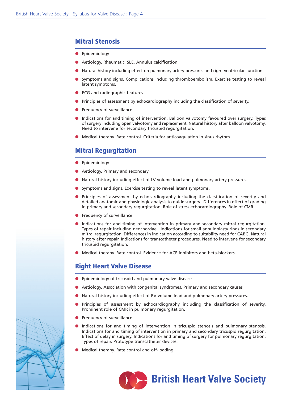## **Mitral Stenosis**

- **•** Epidemiology
- **•** Aetiology. Rheumatic, SLE. Annulus calcification
- l Natural history including effect on pulmonary artery pressures and right ventricular function.
- Symptoms and signs. Complications including thromboembolism. Exercise testing to reveal latent symptoms.
- **e** ECG and radiographic features
- **•** Principles of assessment by echocardiography including the classification of severity.
- $\bullet$  Frequency of surveillance
- **Indications for and timing of intervention. Balloon valvotomy favoured over surgery. Types** of surgery including open valvotomy and replacement. Natural history after balloon valvotomy. Need to intervene for secondary tricuspid regurgitation.
- **In** Medical therapy. Rate control. Criteria for anticoagulation in sinus rhythm.

## **Mitral Regurgitation**

- **·** Epidemiology
- **Aetiology. Primary and secondary**
- l Natural history including effect of LV volume load and pulmonary artery pressures.
- **.** Symptoms and signs. Exercise testing to reveal latent symptoms.
- **•** Principles of assessment by echocardiography including the classification of severity and detailed anatomic and physiologic analysis to guide surgery. Differences in effect of grading in primary and secondary regurgitation. Role of stress echocardiography. Role of CMR.
- $\bullet$  Frequency of surveillance
- l Indications for and timing of intervention in primary and secondary mitral regurgitation. Types of repair including neochordae. Indications for small annuloplasty rings in secondary mitral regurgitation. Differences in indication according to suitability need for CABG. Natural history after repair. Indications for transcatheter procedures. Need to intervene for secondary tricuspid regurgitation.
- **ID** Medical therapy. Rate control. Evidence for ACE inhibitors and beta-blockers.

#### **Right Heart Valve Disease**

- **•** Epidemiology of tricuspid and pulmonary valve disease
- **•** Aetiology. Association with congenital syndromes. Primary and secondary causes
- l Natural history including effect of RV volume load and pulmonary artery pressures.
- **•** Principles of assessment by echocardiography including the classification of severity. Prominent role of CMR in pulmonary regurgitation.
- Frequency of surveillance
- l Indications for and timing of intervention in tricuspid stenosis and pulmonary stenosis. Indications for and timing of intervention in primary and secondary tricuspid regurgitation. Effect of delay in surgery. Indications for and timing of surgery for pulmonary regurgitation. Types of repair. Prototype transcatheter devices.
- l Medical therapy. Rate control and off-loading